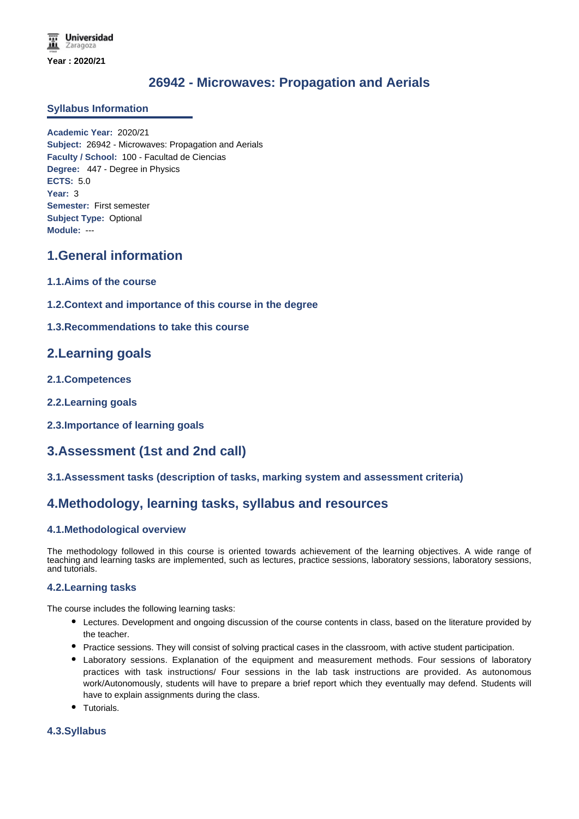# **26942 - Microwaves: Propagation and Aerials**

#### **Syllabus Information**

**Academic Year:** 2020/21 **Subject:** 26942 - Microwaves: Propagation and Aerials **Faculty / School:** 100 - Facultad de Ciencias **Degree:** 447 - Degree in Physics **ECTS:** 5.0 **Year:** 3 **Semester:** First semester **Subject Type:** Optional **Module:** ---

## **1.General information**

- **1.1.Aims of the course**
- **1.2.Context and importance of this course in the degree**
- **1.3.Recommendations to take this course**

## **2.Learning goals**

- **2.1.Competences**
- **2.2.Learning goals**
- **2.3.Importance of learning goals**

## **3.Assessment (1st and 2nd call)**

#### **3.1.Assessment tasks (description of tasks, marking system and assessment criteria)**

### **4.Methodology, learning tasks, syllabus and resources**

### **4.1.Methodological overview**

The methodology followed in this course is oriented towards achievement of the learning objectives. A wide range of teaching and learning tasks are implemented, such as lectures, practice sessions, laboratory sessions, laboratory sessions, and tutorials.

### **4.2.Learning tasks**

The course includes the following learning tasks:

- Lectures. Development and ongoing discussion of the course contents in class, based on the literature provided by the teacher.
- Practice sessions. They will consist of solving practical cases in the classroom, with active student participation.
- Laboratory sessions. Explanation of the equipment and measurement methods. Four sessions of laboratory practices with task instructions/ Four sessions in the lab task instructions are provided. As autonomous work/Autonomously, students will have to prepare a brief report which they eventually may defend. Students will have to explain assignments during the class.
- Tutorials.

### **4.3.Syllabus**